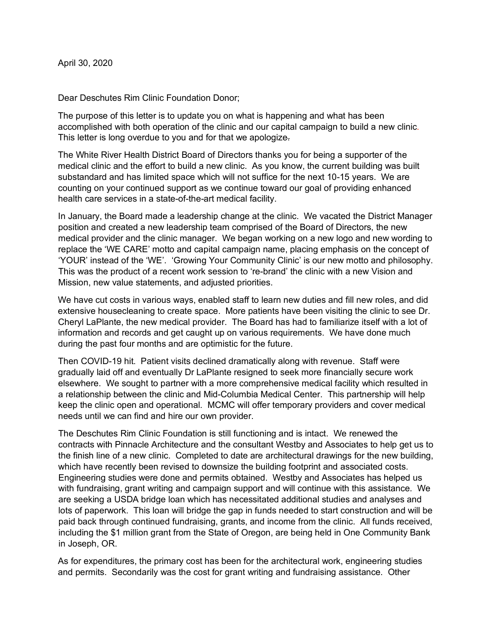Dear Deschutes Rim Clinic Foundation Donor;

The purpose of this letter is to update you on what is happening and what has been accomplished with both operation of the clinic and our capital campaign to build a new clinic. This letter is long overdue to you and for that we apologize.

The White River Health District Board of Directors thanks you for being a supporter of the medical clinic and the effort to build a new clinic. As you know, the current building was built substandard and has limited space which will not suffice for the next 10-15 years. We are counting on your continued support as we continue toward our goal of providing enhanced health care services in a state-of-the-art medical facility.

In January, the Board made a leadership change at the clinic. We vacated the District Manager position and created a new leadership team comprised of the Board of Directors, the new medical provider and the clinic manager. We began working on a new logo and new wording to replace the 'WE CARE' motto and capital campaign name, placing emphasis on the concept of 'YOUR' instead of the 'WE'. 'Growing Your Community Clinic' is our new motto and philosophy. This was the product of a recent work session to 're-brand' the clinic with a new Vision and Mission, new value statements, and adjusted priorities.

We have cut costs in various ways, enabled staff to learn new duties and fill new roles, and did extensive housecleaning to create space. More patients have been visiting the clinic to see Dr. Cheryl LaPlante, the new medical provider. The Board has had to familiarize itself with a lot of information and records and get caught up on various requirements. We have done much during the past four months and are optimistic for the future.

Then COVID-19 hit. Patient visits declined dramatically along with revenue. Staff were gradually laid off and eventually Dr LaPlante resigned to seek more financially secure work elsewhere. We sought to partner with a more comprehensive medical facility which resulted in a relationship between the clinic and Mid-Columbia Medical Center. This partnership will help keep the clinic open and operational. MCMC will offer temporary providers and cover medical needs until we can find and hire our own provider.

The Deschutes Rim Clinic Foundation is still functioning and is intact. We renewed the contracts with Pinnacle Architecture and the consultant Westby and Associates to help get us to the finish line of a new clinic. Completed to date are architectural drawings for the new building, which have recently been revised to downsize the building footprint and associated costs. Engineering studies were done and permits obtained. Westby and Associates has helped us with fundraising, grant writing and campaign support and will continue with this assistance. We are seeking a USDA bridge loan which has necessitated additional studies and analyses and lots of paperwork. This loan will bridge the gap in funds needed to start construction and will be paid back through continued fundraising, grants, and income from the clinic. All funds received, including the \$1 million grant from the State of Oregon, are being held in One Community Bank in Joseph, OR.

As for expenditures, the primary cost has been for the architectural work, engineering studies and permits. Secondarily was the cost for grant writing and fundraising assistance. Other